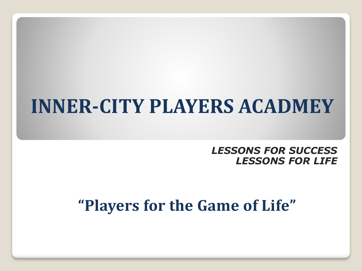### **INNER-CITY PLAYERS ACADMEY**

*LESSONS FOR SUCCESS LESSONS FOR LIFE*

**"Players for the Game of Life"**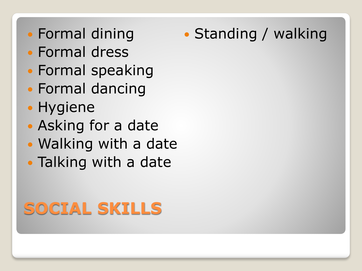- Formal dining
- Formal dress
- Formal speaking
- Formal dancing
- Hygiene
- Asking for a date
- Walking with a date
- Talking with a date

## **SOCIAL SKILLS**

#### • Standing / walking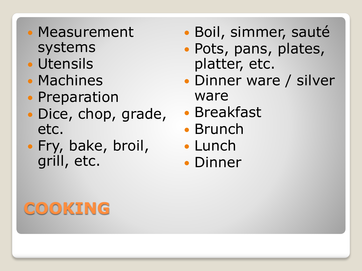- Measurement systems
- Utensils
- Machines
- Preparation
- Dice, chop, grade, etc.
- Fry, bake, broil, grill, etc.
- Boil, simmer, sauté
- Pots, pans, plates, platter, etc.
- Dinner ware / silver ware
- Breakfast
- Brunch
- Lunch
- Dinner

## **COOKING**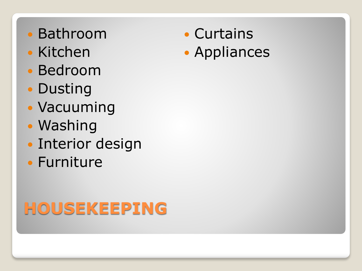- Bathroom
- Kitchen
- Bedroom
- Dusting
- Vacuuming
- Washing
- **· Interior design**
- Furniture

## **HOUSEKEEPING**

 Curtains Appliances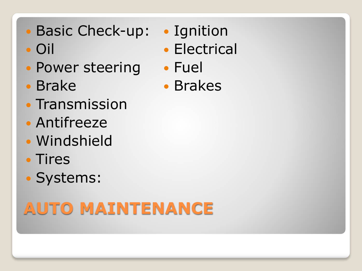Basic Check-up:

### Oil

- Power steering
- Brake
- Transmission
- Antifreeze
- Windshield
- Tires
- Systems:

# **AUTO MAINTENANCE**

- Ignition
- Electrical
- Fuel
- Brakes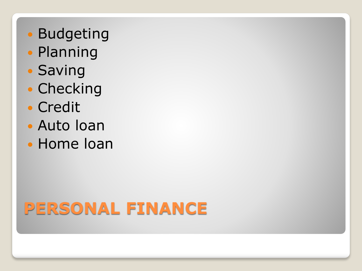- **Budgeting**
- Planning
- **Saving**
- Checking
- Credit
- Auto loan
- Home loan

### **PERSONAL FINANCE**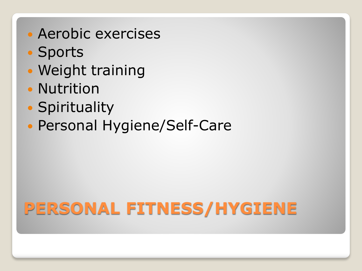- Aerobic exercises
- Sports
- Weight training
- Nutrition
- Spirituality
- Personal Hygiene/Self-Care

## **PERSONAL FITNESS/HYGIENE**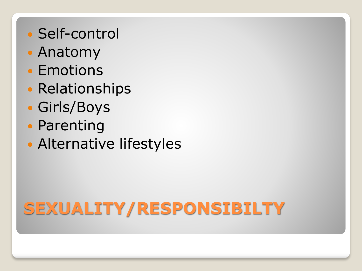- Self-control
- Anatomy
- Emotions
- Relationships
- Girls/Boys
- Parenting
- Alternative lifestyles

### **SEXUALITY/RESPONSIBILTY**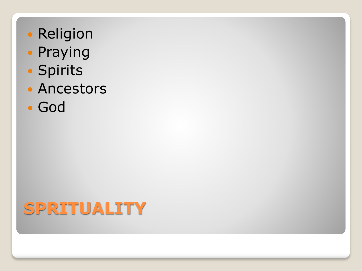- Religion
- Praying
- Spirits
- Ancestors
- God

#### **SPRITUALITY**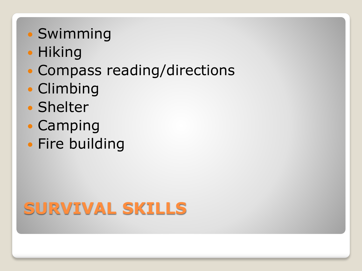- Swimming
- Hiking
- Compass reading/directions
- Climbing
- Shelter
- Camping
- **Fire building**

### **SURVIVAL SKILLS**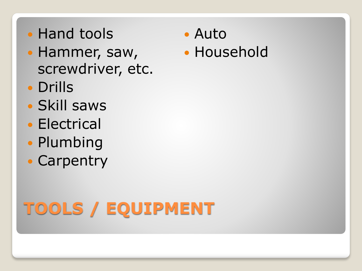- Hand tools
- Hammer, saw, screwdriver, etc.
- Drills
- Skill saws
- Electrical
- Plumbing
- Carpentry

# **TOOLS / EQUIPMENT**

 Auto • Household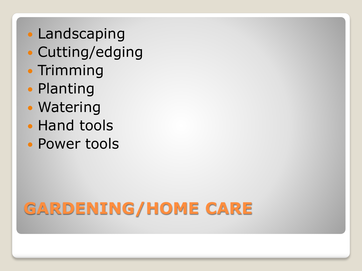- **Landscaping**
- Cutting/edging
- Trimming
- Planting
- Watering
- Hand tools
- Power tools

### **GARDENING/HOME CARE**